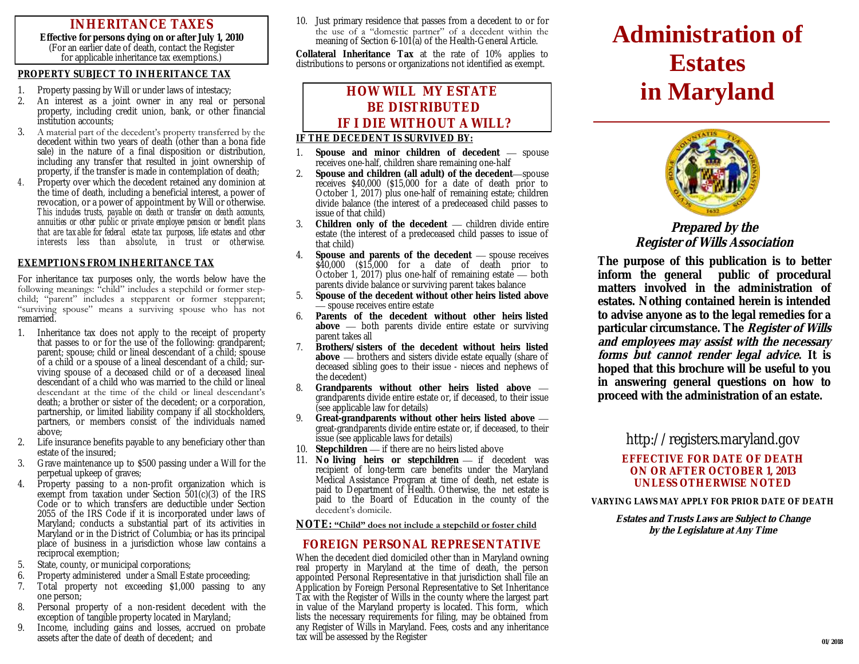# **INHERITANCE TAXES**

**Effective for persons dying on or after July 1, 2010**  (For an earlier date of death, contact the Register for applicable inheritance tax exemptions.)

#### **PROPERTY SUBJECT TO INHERITANCE TAX**

- 1. Property passing by Will or under laws of intestacy;
- 2. An interest as a joint owner in any real or personal property, including credit union, bank, or other financial institution accounts;
- 3. A material part of the decedent's property transferred by the decedent within two years of death (other than a bona fide sale) in the nature of a final disposition or distribution, including any transfer that resulted in joint ownership of property, if the transfer is made in contemplation of death;
- *4.* Property over which the decedent retained any dominion at the time of death, including a beneficial interest, a power of revocation, or a power of appointment by Will or otherwise. *This includes trusts, payable on death or transfer on death accounts, annuities or other public or private employee pension or benefit plans*  that are taxable for federal estate tax purposes, life estates and other *interests less than absolute, in trust or otherwise.*

#### **EXEMPTIONS FROM INHERITANCE TAX**

For inheritance tax purposes only, the words below have the following meanings: "child" includes a stepchild or former stepchild; "parent" includes a stepparent or former stepparent; "surviving spouse" means a surviving spouse who has not remarried.

- 1. Inheritance tax does not apply to the receipt of property that passes to or for the use of the following: grandparent; parent; spouse; child or lineal descendant of a child; spouse of a child or a spouse of a lineal descendant of a child; surviving spouse of a deceased child or of a deceased lineal descendant of a child who was married to the child or lineal descendant at the time of the child or lineal descendant's death; a brother or sister of the decedent; or a corporation, partnership, or limited liability company if all stockholders, partners, or members consist of the individuals named above;
- 2. Life insurance benefits payable to any beneficiary other than estate of the insured;
- 3. Grave maintenance up to \$500 passing under a Will for the perpetual upkeep of graves;
- 4. Property passing to a non-profit organization which is exempt from taxation under Section 501(c)(3) of the IRS Code or to which transfers are deductible under Section 2055 of the IRS Code if it is incorporated under laws of Maryland; conducts a substantial part of its activities in Maryland or in the District of Columbia; or has its principal place of business in a jurisdiction whose law contains a reciprocal exemption;
- 5. State, county, or municipal corporations;
- 6. Property administered under a Small Estate proceeding;
- 7. Total property not exceeding \$1,000 passing to any one person;
- 8. Personal property of a non-resident decedent with the exception of tangible property located in Maryland;
- 9. Income, including gains and losses, accrued on probate assets after the date of death of decedent; and

10. Just primary residence that passes from a decedent to or for the use of a "domestic partner" of a decedent within the meaning of Section 6-101(a) of the Health-General Article.

**Collateral Inheritance Tax** at the rate of 10% applies to distributions to persons or organizations not identified as exempt.

l

# **HOW WILL MY ESTATE BE DISTRIBUTED IF I DIE WITHOUT A WILL?**

#### **IF THE DECEDENT IS SURVIVED BY:**

- 1. **Spouse and minor children of decedent**  spouse receives one-half, children share remaining one-half
- 2. **Spouse and children (all adult) of the decedent**—spouse receives \$40,000 (\$15,000 for a date of death prior to October 1, 2017) plus one-half of remaining estate; children divide balance (the interest of a predeceased child passes to issue of that child)
- 3. **Children only of the decedent**  children divide entire estate (the interest of a predeceased child passes to issue of that child)
- 4. **Spouse and parents of the decedent**  spouse receives \$40,000 (\$15,000 for a date of death prior to October 1, 2017) plus one-half of remaining estate — both parents divide balance or surviving parent takes balance
- 5. **Spouse of the decedent without other heirs listed above**  — spouse receives entire estate
- 6. **Parents of the decedent without other heirs listed above** — both parents divide entire estate or surviving parent takes all
- 7. **Brothers/sisters of the decedent without heirs listed above** — brothers and sisters divide estate equally (share of deceased sibling goes to their issue - nieces and nephews of the decedent)
- 8. **Grandparents without other heirs listed above**  grandparents divide entire estate or, if deceased, to their issue (see applicable law for details)
- 9. **Great-grandparents without other heirs listed above**  great-grandparents divide entire estate or, if deceased, to their issue (see applicable laws for details)
- 10. **Stepchildren**  if there are no heirs listed above
- 11. No living heirs or stepchildren if decedent was recipient of long-term care benefits under the Maryland Medical Assistance Program at time of death, net estate is paid to Department of Health. Otherwise, the net estate is paid to the Board of Education in the county of the decedent's domicile.

#### **NOTE: "Child" does not include a stepchild or foster child**

### **FOREIGN PERSONAL REPRESENTATIVE**

When the decedent died domiciled other than in Maryland owning real property in Maryland at the time of death, the person appointed Personal Representative in that jurisdiction shall file an Application by Foreign Personal Representative to Set Inheritance Tax with the Register of Wills in the county where the largest part in value of the Maryland property is located. This form, which lists the necessary requirements for filing, may be obtained from any Register of Wills in Maryland. Fees, costs and any inheritance tax will be assessed by the Register

# **Administration of Estates in Maryland**



## **Prepared by the Register of Wills Association**

**The purpose of this publication is to better inform the general public of procedural matters involved in the administration of estates. Nothing contained herein is intended to advise anyone as to the legal remedies for a particular circumstance. The Register of Wills and employees may assist with the necessary forms but cannot render legal advice. It is hoped that this brochure will be useful to you in answering general questions on how to proceed with the administration of an estate.**

## http://registers.maryland.gov

### **EFFECTIVE FOR DATE OF DEATH ON OR AFTER OCTOBER 1, 2013 UNLESS OTHERWISE NOTED**

**VARYING LAWS MAY APPLY FOR PRIOR DATE OF DEATH**

**Estates and Trusts Laws are Subject to Change by the Legislature at Any Time**